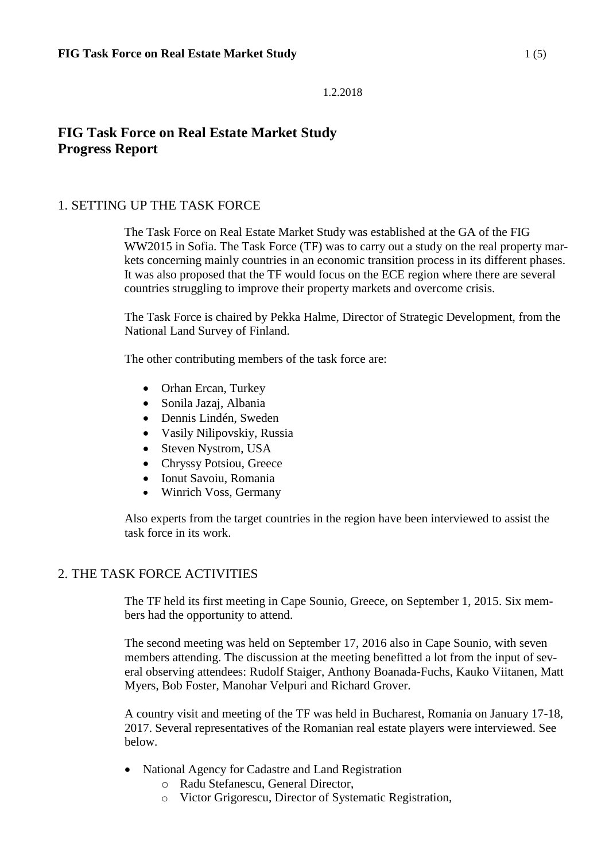# **FIG Task Force on Real Estate Market Study Progress Report**

## 1. SETTING UP THE TASK FORCE

The Task Force on Real Estate Market Study was established at the GA of the FIG WW2015 in Sofia. The Task Force (TF) was to carry out a study on the real property markets concerning mainly countries in an economic transition process in its different phases. It was also proposed that the TF would focus on the ECE region where there are several countries struggling to improve their property markets and overcome crisis.

The Task Force is chaired by Pekka Halme, Director of Strategic Development, from the National Land Survey of Finland.

The other contributing members of the task force are:

- Orhan Ercan, Turkey
- Sonila Jazaj, Albania
- Dennis Lindén, Sweden
- Vasily Nilipovskiy, Russia
- Steven Nystrom, USA
- Chryssy Potsiou, Greece
- Ionut Savoiu, Romania
- Winrich Voss, Germany

Also experts from the target countries in the region have been interviewed to assist the task force in its work.

## 2. THE TASK FORCE ACTIVITIES

The TF held its first meeting in Cape Sounio, Greece, on September 1, 2015. Six members had the opportunity to attend.

The second meeting was held on September 17, 2016 also in Cape Sounio, with seven members attending. The discussion at the meeting benefitted a lot from the input of several observing attendees: Rudolf Staiger, Anthony Boanada-Fuchs, Kauko Viitanen, Matt Myers, Bob Foster, Manohar Velpuri and Richard Grover.

A country visit and meeting of the TF was held in Bucharest, Romania on January 17-18, 2017. Several representatives of the Romanian real estate players were interviewed. See below.

- National Agency for Cadastre and Land Registration
	- o Radu Stefanescu, General Director,
	- o Victor Grigorescu, Director of Systematic Registration,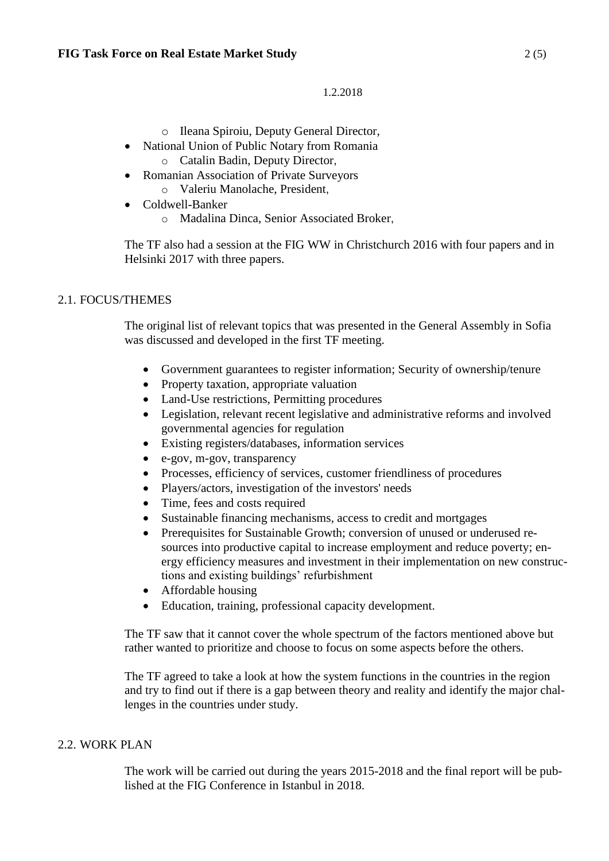- o Ileana Spiroiu, Deputy General Director,
- National Union of Public Notary from Romania o Catalin Badin, Deputy Director,
- Romanian Association of Private Surveyors
	- o Valeriu Manolache, President,
- Coldwell-Banker
	- o Madalina Dinca, Senior Associated Broker,

The TF also had a session at the FIG WW in Christchurch 2016 with four papers and in Helsinki 2017 with three papers.

## 2.1. FOCUS/THEMES

The original list of relevant topics that was presented in the General Assembly in Sofia was discussed and developed in the first TF meeting.

- Government guarantees to register information; Security of ownership/tenure
- Property taxation, appropriate valuation
- Land-Use restrictions, Permitting procedures
- Legislation, relevant recent legislative and administrative reforms and involved governmental agencies for regulation
- Existing registers/databases, information services
- e-gov, m-gov, transparency
- Processes, efficiency of services, customer friendliness of procedures
- Players/actors, investigation of the investors' needs
- Time, fees and costs required
- Sustainable financing mechanisms, access to credit and mortgages
- Prerequisites for Sustainable Growth; conversion of unused or underused resources into productive capital to increase employment and reduce poverty; energy efficiency measures and investment in their implementation on new constructions and existing buildings' refurbishment
- Affordable housing
- Education, training, professional capacity development.

The TF saw that it cannot cover the whole spectrum of the factors mentioned above but rather wanted to prioritize and choose to focus on some aspects before the others.

The TF agreed to take a look at how the system functions in the countries in the region and try to find out if there is a gap between theory and reality and identify the major challenges in the countries under study.

#### 2.2. WORK PLAN

The work will be carried out during the years 2015-2018 and the final report will be published at the FIG Conference in Istanbul in 2018.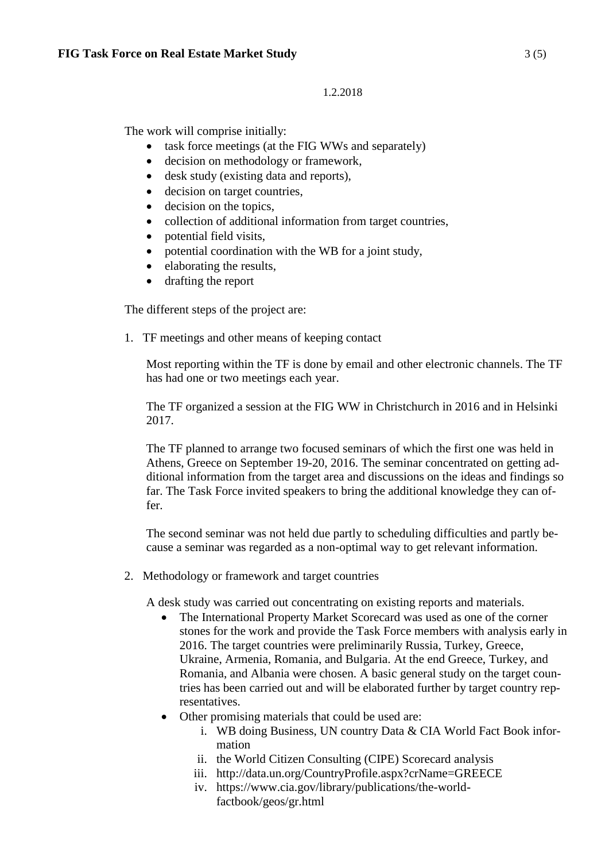The work will comprise initially:

- task force meetings (at the FIG WWs and separately)
- decision on methodology or framework,
- desk study (existing data and reports),
- decision on target countries,
- decision on the topics,
- collection of additional information from target countries,
- potential field visits,
- potential coordination with the WB for a joint study,
- elaborating the results.
- drafting the report

The different steps of the project are:

1. TF meetings and other means of keeping contact

Most reporting within the TF is done by email and other electronic channels. The TF has had one or two meetings each year.

The TF organized a session at the FIG WW in Christchurch in 2016 and in Helsinki 2017.

The TF planned to arrange two focused seminars of which the first one was held in Athens, Greece on September 19-20, 2016. The seminar concentrated on getting additional information from the target area and discussions on the ideas and findings so far. The Task Force invited speakers to bring the additional knowledge they can offer.

The second seminar was not held due partly to scheduling difficulties and partly because a seminar was regarded as a non-optimal way to get relevant information.

2. Methodology or framework and target countries

A desk study was carried out concentrating on existing reports and materials.

- The International Property Market Scorecard was used as one of the corner stones for the work and provide the Task Force members with analysis early in 2016. The target countries were preliminarily Russia, Turkey, Greece, Ukraine, Armenia, Romania, and Bulgaria. At the end Greece, Turkey, and Romania, and Albania were chosen. A basic general study on the target countries has been carried out and will be elaborated further by target country representatives.
- Other promising materials that could be used are:
	- i. WB doing Business, UN country Data & CIA World Fact Book information
	- ii. the World Citizen Consulting (CIPE) Scorecard analysis
	- iii. http://data.un.org/CountryProfile.aspx?crName=GREECE
	- iv. https://www.cia.gov/library/publications/the-worldfactbook/geos/gr.html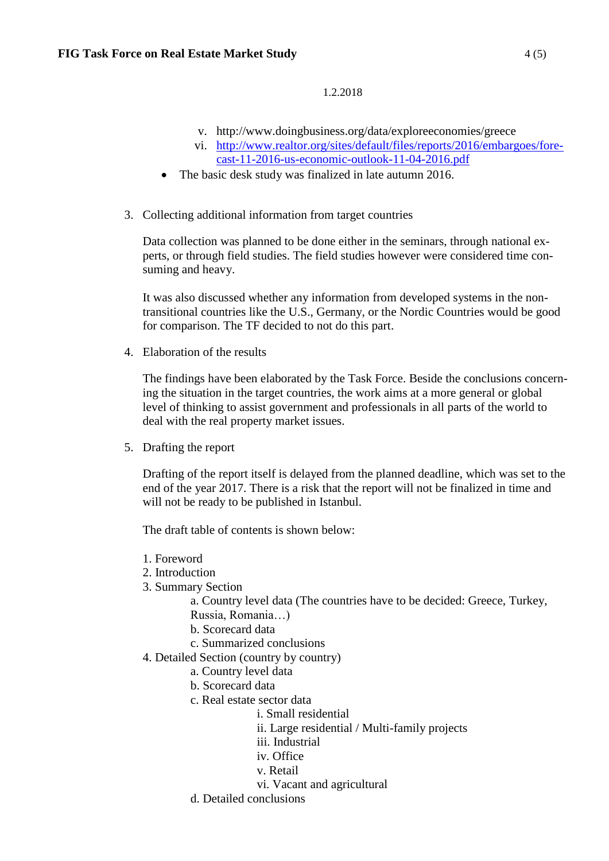- v. http://www.doingbusiness.org/data/exploreeconomies/greece
- vi. [http://www.realtor.org/sites/default/files/reports/2016/embargoes/fore](http://www.realtor.org/sites/default/files/reports/2016/embargoes/forecast-11-2016-us-economic-outlook-11-04-2016.pdf)[cast-11-2016-us-economic-outlook-11-04-2016.pdf](http://www.realtor.org/sites/default/files/reports/2016/embargoes/forecast-11-2016-us-economic-outlook-11-04-2016.pdf)
- The basic desk study was finalized in late autumn 2016.
- 3. Collecting additional information from target countries

Data collection was planned to be done either in the seminars, through national experts, or through field studies. The field studies however were considered time consuming and heavy.

It was also discussed whether any information from developed systems in the nontransitional countries like the U.S., Germany, or the Nordic Countries would be good for comparison. The TF decided to not do this part.

4. Elaboration of the results

The findings have been elaborated by the Task Force. Beside the conclusions concerning the situation in the target countries, the work aims at a more general or global level of thinking to assist government and professionals in all parts of the world to deal with the real property market issues.

5. Drafting the report

Drafting of the report itself is delayed from the planned deadline, which was set to the end of the year 2017. There is a risk that the report will not be finalized in time and will not be ready to be published in Istanbul.

The draft table of contents is shown below:

- 1. Foreword
- 2. Introduction
- 3. Summary Section

a. Country level data (The countries have to be decided: Greece, Turkey, Russia, Romania…)

- b. Scorecard data
- c. Summarized conclusions
- 4. Detailed Section (country by country)
	- a. Country level data
	- b. Scorecard data
	- c. Real estate sector data
		- i. Small residential
			- ii. Large residential / Multi-family projects
			- iii. Industrial
			- iv. Office
			- v. Retail
		- vi. Vacant and agricultural
	- d. Detailed conclusions